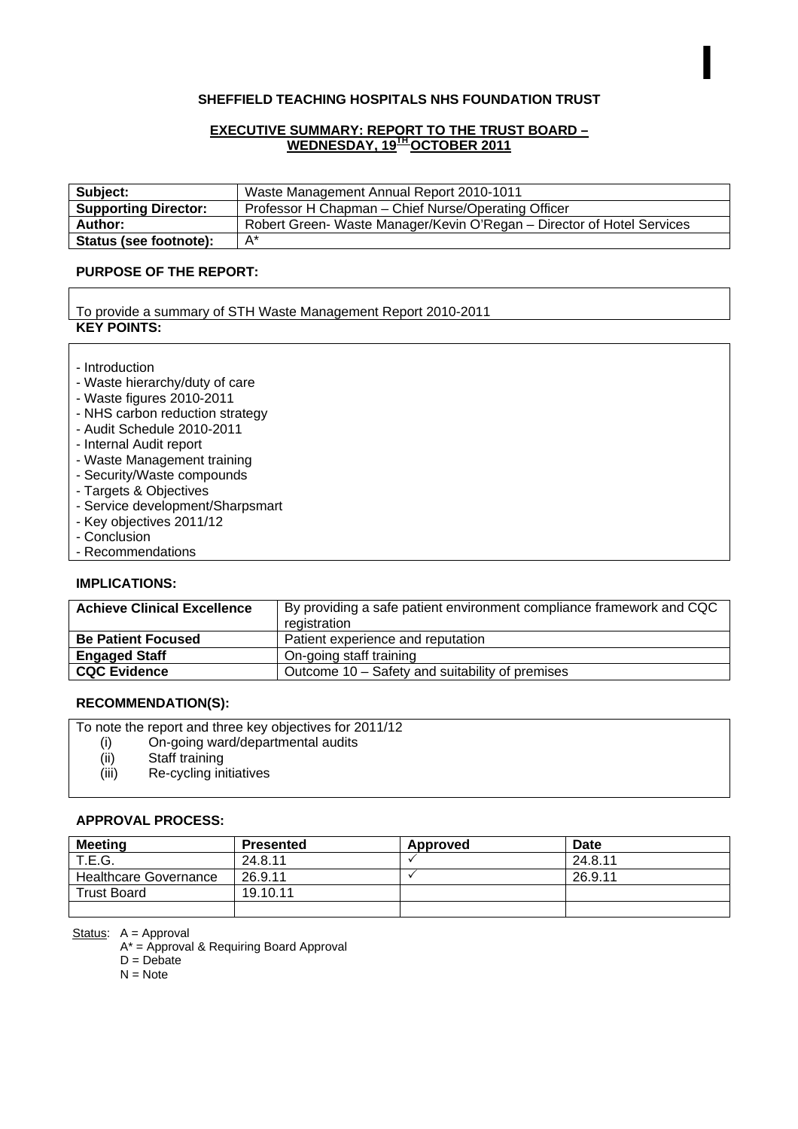#### **SHEFFIELD TEACHING HOSPITALS NHS FOUNDATION TRUST**

I

#### **EXECUTIVE SUMMARY: REPORT TO THE TRUST BOARD – WEDNESDAY, 19TH OCTOBER 2011**

| Subject:                    | Waste Management Annual Report 2010-1011                               |
|-----------------------------|------------------------------------------------------------------------|
| <b>Supporting Director:</b> | Professor H Chapman – Chief Nurse/Operating Officer                    |
| Author:                     | Robert Green- Waste Manager/Kevin O'Regan – Director of Hotel Services |
| Status (see footnote):      | $A^*$                                                                  |

#### **PURPOSE OF THE REPORT:**

To provide a summary of STH Waste Management Report 2010-2011 **KEY POINTS:** 

- Introduction
- Waste hierarchy/duty of care
- Waste figures 2010-2011
- NHS carbon reduction strategy
- Audit Schedule 2010-2011
- Internal Audit report
- Waste Management training
- Security/Waste compounds
- Targets & Objectives
- Service development/Sharpsmart
- Key objectives 2011/12
- Conclusion
- Recommendations

#### **IMPLICATIONS:**

| <b>Achieve Clinical Excellence</b> | By providing a safe patient environment compliance framework and CQC<br>registration |
|------------------------------------|--------------------------------------------------------------------------------------|
| <b>Be Patient Focused</b>          | Patient experience and reputation                                                    |
| <b>Engaged Staff</b>               | On-going staff training                                                              |
| <b>CQC Evidence</b>                | Outcome 10 - Safety and suitability of premises                                      |

#### **RECOMMENDATION(S):**

To note the report and three key objectives for 2011/12

- (i) On-going ward/departmental audits
- (ii) Staff training<br>(iii) Re-cycling in
- Re-cycling initiatives

#### **APPROVAL PROCESS:**

| <b>Meeting</b>               | <b>Presented</b> | Approved | Date    |
|------------------------------|------------------|----------|---------|
| <b>T.E.G.</b>                | 24.8.11          |          | 24.8.11 |
| <b>Healthcare Governance</b> | 26.9.11          |          | 26.9.11 |
| <b>Trust Board</b>           | 19.10.11         |          |         |
|                              |                  |          |         |

Status: A = Approval

A\* = Approval & Requiring Board Approval

 $D = Debate$ 

 $N = Note$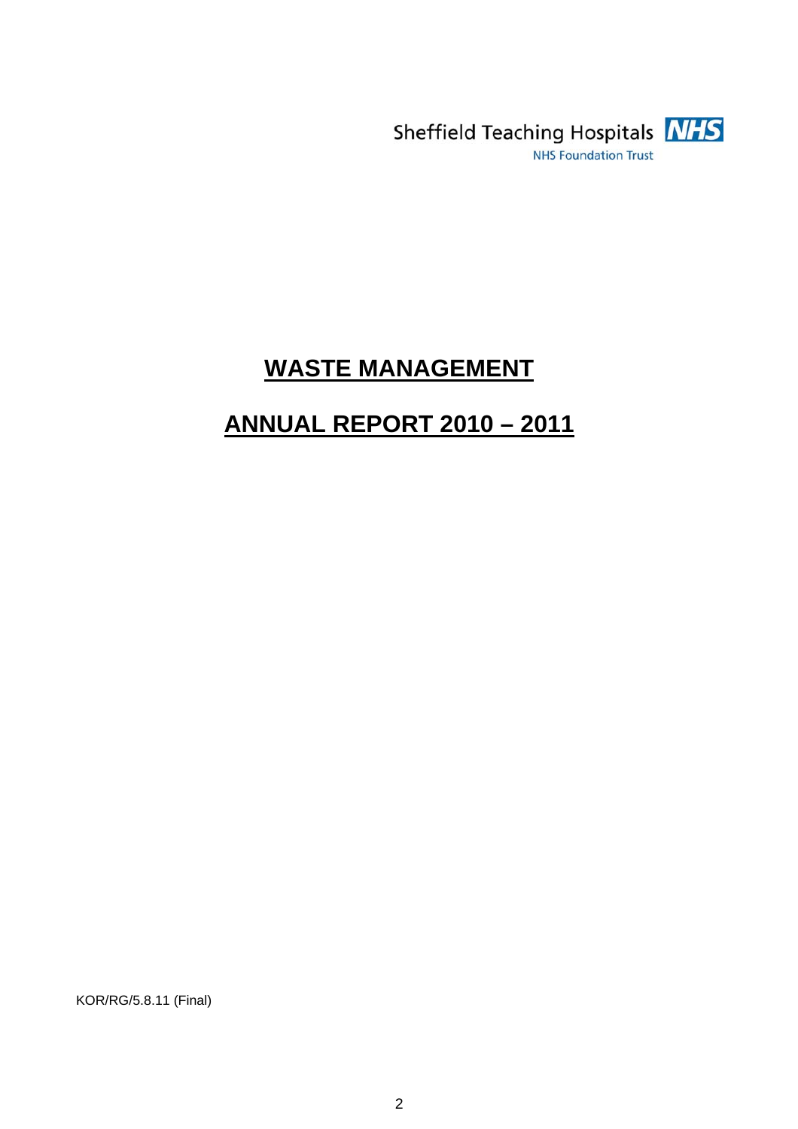

# **WASTE MANAGEMENT**

# **ANNUAL REPORT 2010 – 2011**

KOR/RG/5.8.11 (Final)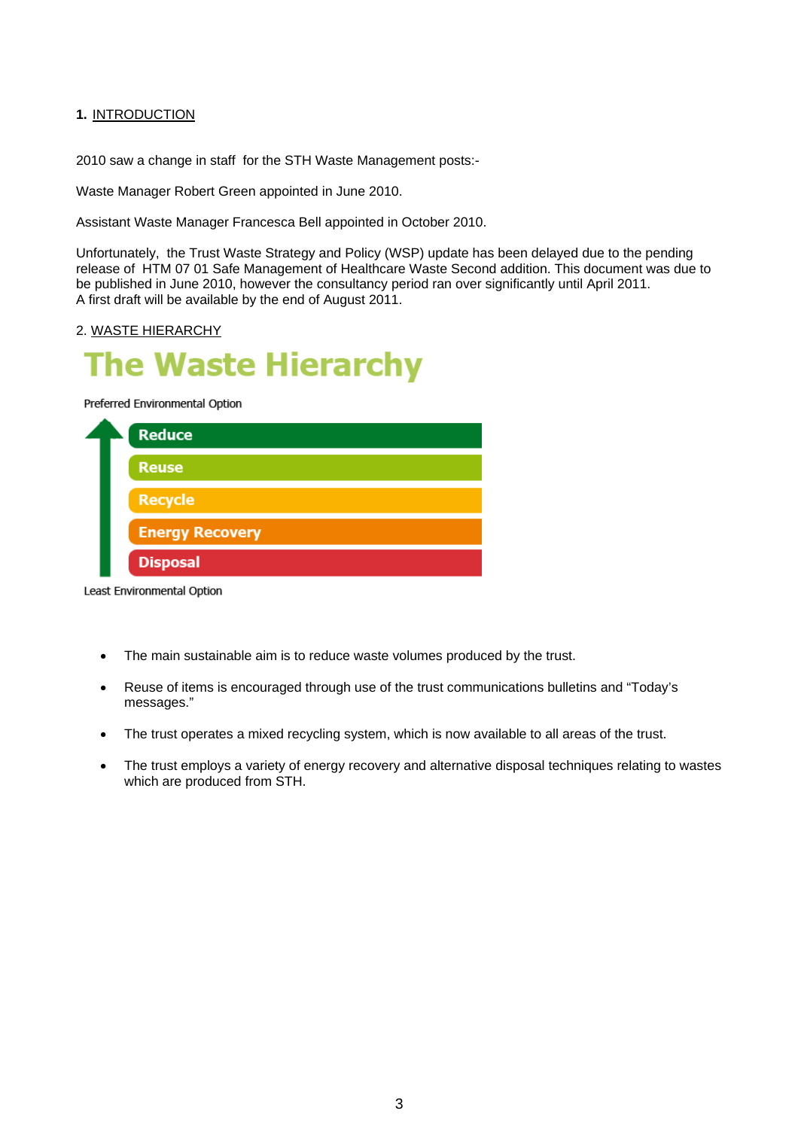#### **1.** INTRODUCTION

2010 saw a change in staff for the STH Waste Management posts:-

Waste Manager Robert Green appointed in June 2010.

Assistant Waste Manager Francesca Bell appointed in October 2010.

Unfortunately, the Trust Waste Strategy and Policy (WSP) update has been delayed due to the pending release of HTM 07 01 Safe Management of Healthcare Waste Second addition. This document was due to be published in June 2010, however the consultancy period ran over significantly until April 2011. A first draft will be available by the end of August 2011.

#### 2. WASTE HIERARCHY

# **he Waste Hierarchy**

Preferred Environmental Option



Least Environmental Option

- The main sustainable aim is to reduce waste volumes produced by the trust.
- Reuse of items is encouraged through use of the trust communications bulletins and "Today's messages."
- The trust operates a mixed recycling system, which is now available to all areas of the trust.
- The trust employs a variety of energy recovery and alternative disposal techniques relating to wastes which are produced from STH.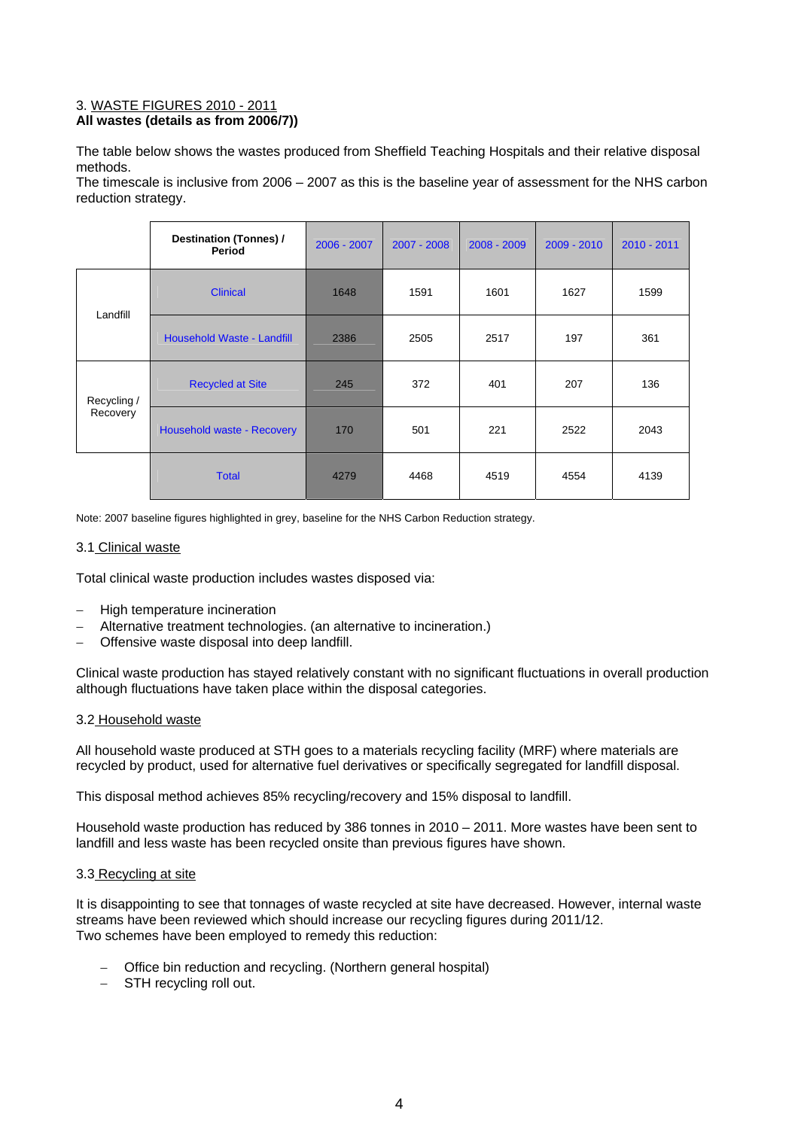#### 3. WASTE FIGURES 2010 - 2011 **All wastes (details as from 2006/7))**

The table below shows the wastes produced from Sheffield Teaching Hospitals and their relative disposal methods.

The timescale is inclusive from 2006 – 2007 as this is the baseline year of assessment for the NHS carbon reduction strategy.

|                         | <b>Destination (Tonnes) /</b><br>Period | $2006 - 2007$ | $2007 - 2008$ | $2008 - 2009$ | $2009 - 2010$ | $2010 - 2011$ |
|-------------------------|-----------------------------------------|---------------|---------------|---------------|---------------|---------------|
|                         | <b>Clinical</b>                         | 1648          | 1591          | 1601          | 1627          | 1599          |
| Landfill                | Household Waste - Landfill              | 2386          | 2505<br>2517  |               | 197           | 361           |
| Recycling /<br>Recovery | <b>Recycled at Site</b>                 | 245           | 372           | 401           | 207           | 136           |
|                         | Household waste - Recovery              | 170           | 501           | 221           | 2522          | 2043          |
|                         | <b>Total</b>                            | 4279          | 4468          | 4519          | 4554          | 4139          |

Note: 2007 baseline figures highlighted in grey, baseline for the NHS Carbon Reduction strategy.

#### 3.1 Clinical waste

Total clinical waste production includes wastes disposed via:

- − High temperature incineration
- − Alternative treatment technologies. (an alternative to incineration.)
- − Offensive waste disposal into deep landfill.

Clinical waste production has stayed relatively constant with no significant fluctuations in overall production although fluctuations have taken place within the disposal categories.

#### 3.2 Household waste

All household waste produced at STH goes to a materials recycling facility (MRF) where materials are recycled by product, used for alternative fuel derivatives or specifically segregated for landfill disposal.

This disposal method achieves 85% recycling/recovery and 15% disposal to landfill.

Household waste production has reduced by 386 tonnes in 2010 – 2011. More wastes have been sent to landfill and less waste has been recycled onsite than previous figures have shown.

#### 3.3 Recycling at site

It is disappointing to see that tonnages of waste recycled at site have decreased. However, internal waste streams have been reviewed which should increase our recycling figures during 2011/12. Two schemes have been employed to remedy this reduction:

- − Office bin reduction and recycling. (Northern general hospital)
- − STH recycling roll out.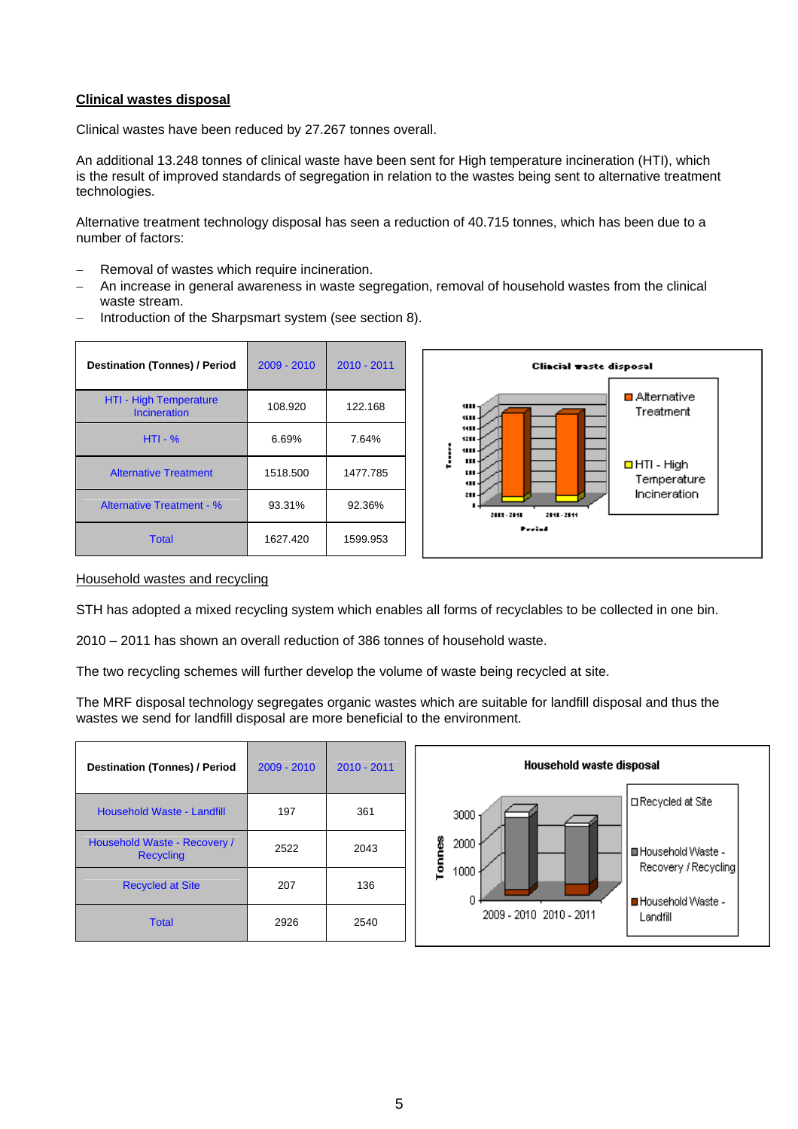#### **Clinical wastes disposal**

Clinical wastes have been reduced by 27.267 tonnes overall.

An additional 13.248 tonnes of clinical waste have been sent for High temperature incineration (HTI), which is the result of improved standards of segregation in relation to the wastes being sent to alternative treatment technologies.

Alternative treatment technology disposal has seen a reduction of 40.715 tonnes, which has been due to a number of factors:

- Removal of wastes which require incineration.
- An increase in general awareness in waste segregation, removal of household wastes from the clinical waste stream.

| <b>Destination (Tonnes) / Period</b>   | $2009 - 2010$ | $2010 - 2011$ |
|----------------------------------------|---------------|---------------|
| HTI - High Temperature<br>Incineration | 108.920       | 122.168       |
| $HTI - %$                              | 6.69%         | 7.64%         |
| <b>Alternative Treatment</b>           | 1518.500      | 1477.785      |
| <b>Alternative Treatment - %</b>       | 93.31%        | 92.36%        |

Total 1627.420 1599.953



− Introduction of the Sharpsmart system (see section 8).

#### Household wastes and recycling

STH has adopted a mixed recycling system which enables all forms of recyclables to be collected in one bin.

2010 – 2011 has shown an overall reduction of 386 tonnes of household waste.

The two recycling schemes will further develop the volume of waste being recycled at site.

The MRF disposal technology segregates organic wastes which are suitable for landfill disposal and thus the wastes we send for landfill disposal are more beneficial to the environment.

| <b>Destination (Tonnes) / Period</b>             | 2009 - 2010 | 2010 - 2011 |
|--------------------------------------------------|-------------|-------------|
| Household Waste - Landfill                       | 197         | 361         |
| Household Waste - Recovery /<br><b>Recycling</b> | 2522        | 2043        |
| <b>Recycled at Site</b>                          | 207         | 136         |
| <b>Total</b>                                     | 2926        | 2540        |

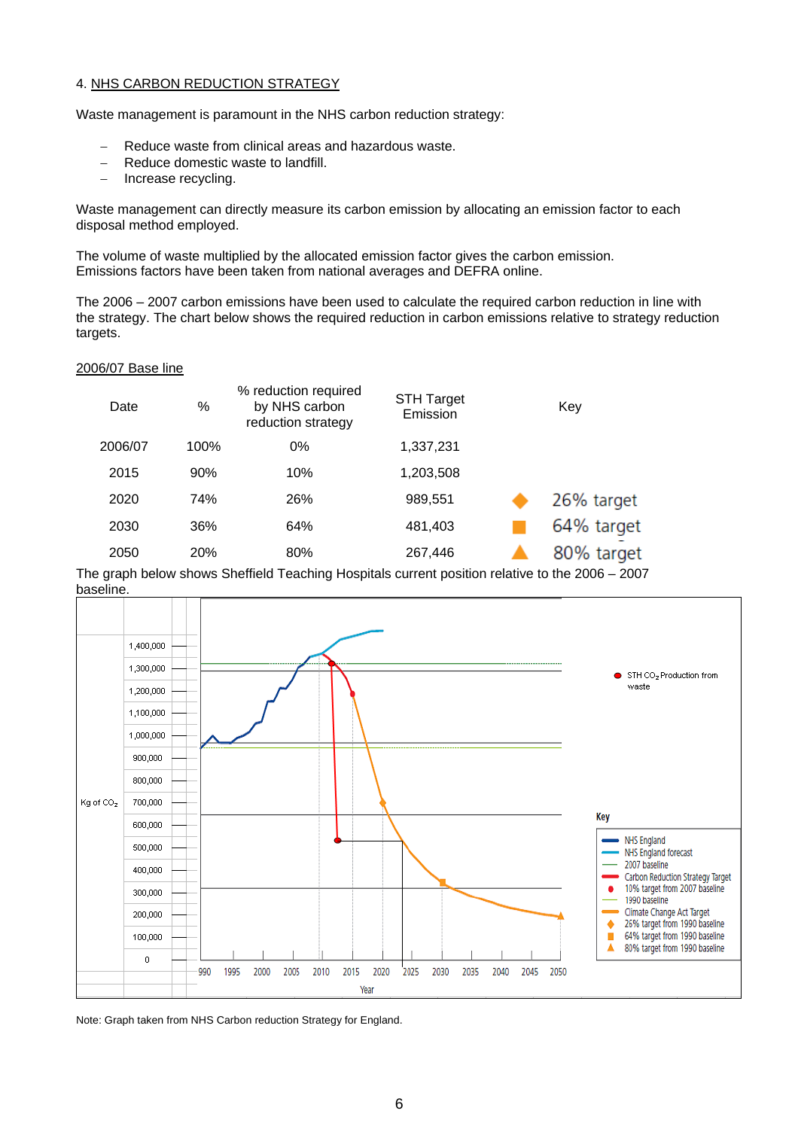#### 4. NHS CARBON REDUCTION STRATEGY

Waste management is paramount in the NHS carbon reduction strategy:

- − Reduce waste from clinical areas and hazardous waste.
- − Reduce domestic waste to landfill.
- − Increase recycling.

Waste management can directly measure its carbon emission by allocating an emission factor to each disposal method employed.

The volume of waste multiplied by the allocated emission factor gives the carbon emission. Emissions factors have been taken from national averages and DEFRA online.

The 2006 – 2007 carbon emissions have been used to calculate the required carbon reduction in line with the strategy. The chart below shows the required reduction in carbon emissions relative to strategy reduction targets.

#### 2006/07 Base line

| Date    | %    | % reduction required<br>by NHS carbon<br>reduction strategy | <b>STH Target</b><br>Emission | Key        |
|---------|------|-------------------------------------------------------------|-------------------------------|------------|
| 2006/07 | 100% | 0%                                                          | 1,337,231                     |            |
| 2015    | 90%  | 10%                                                         | 1,203,508                     |            |
| 2020    | 74%  | 26%                                                         | 989,551                       | 26% target |
| 2030    | 36%  | 64%                                                         | 481,403                       | 64% target |
| 2050    | 20%  | 80%                                                         | 267,446                       | 80% target |

The graph below shows Sheffield Teaching Hospitals current position relative to the 2006 – 2007 baseline.



Note: Graph taken from NHS Carbon reduction Strategy for England.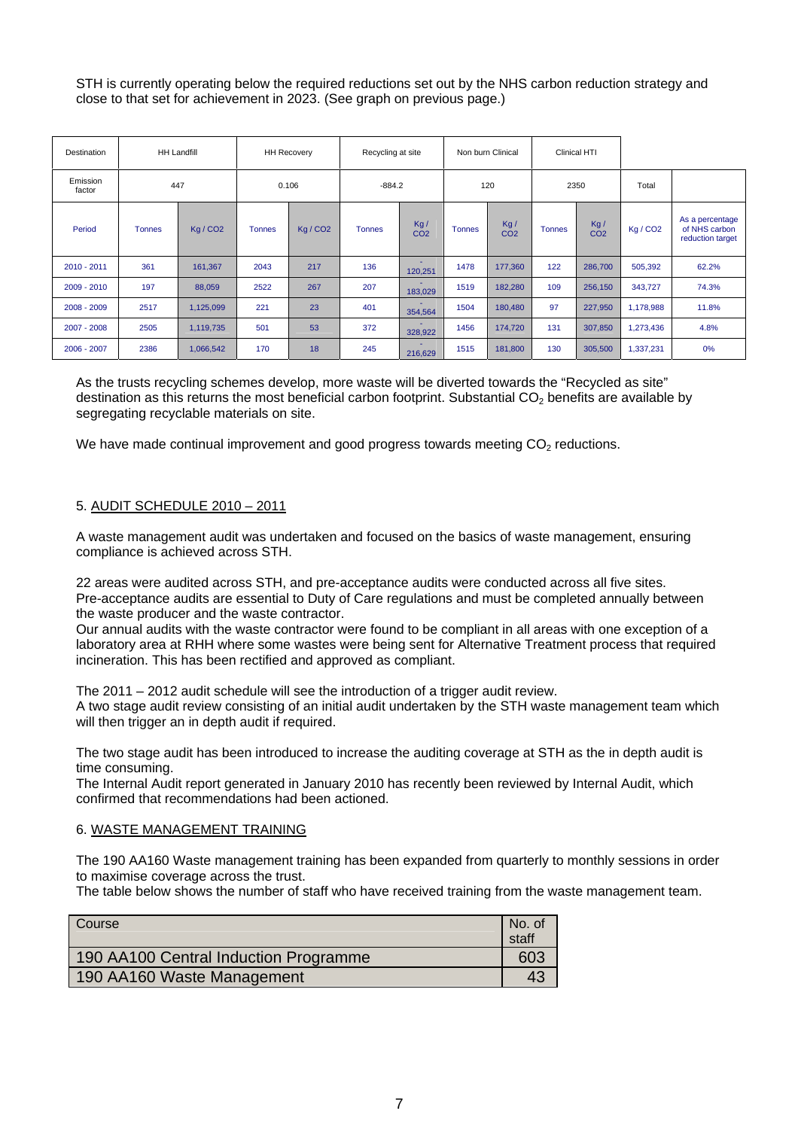STH is currently operating below the required reductions set out by the NHS carbon reduction strategy and close to that set for achievement in 2023. (See graph on previous page.)

| <b>Destination</b> |               | <b>HH Landfill</b>   |               | <b>HH Recovery</b> | Recycling at site |                        |               | Non burn Clinical      |               | Clinical HTI           |                      |                                                      |
|--------------------|---------------|----------------------|---------------|--------------------|-------------------|------------------------|---------------|------------------------|---------------|------------------------|----------------------|------------------------------------------------------|
| Emission<br>factor |               | 447                  |               | 0.106              | $-884.2$          |                        |               | 120                    |               | 2350                   | Total                |                                                      |
| Period             | <b>Tonnes</b> | Kg / CO <sub>2</sub> | <b>Tonnes</b> | Kg/CO <sub>2</sub> | <b>Tonnes</b>     | Kg/<br>CO <sub>2</sub> | <b>Tonnes</b> | Kg/<br>CO <sub>2</sub> | <b>Tonnes</b> | Kg/<br>CO <sub>2</sub> | Kg / CO <sub>2</sub> | As a percentage<br>of NHS carbon<br>reduction target |
| 2010 - 2011        | 361           | 161,367              | 2043          | 217                | 136               | 120,251                | 1478          | 177,360                | 122           | 286,700                | 505,392              | 62.2%                                                |
| $2009 - 2010$      | 197           | 88,059               | 2522          | 267                | 207               | 183,029                | 1519          | 182,280                | 109           | 256,150                | 343,727              | 74.3%                                                |
| 2008 - 2009        | 2517          | 1,125,099            | 221           | 23                 | 401               | 354,564                | 1504          | 180,480                | 97            | 227,950                | 1,178,988            | 11.8%                                                |
| $2007 - 2008$      | 2505          | 1,119,735            | 501           | 53                 | 372               | 328,922                | 1456          | 174,720                | 131           | 307,850                | 1,273,436            | 4.8%                                                 |
| 2006 - 2007        | 2386          | 1,066,542            | 170           | 18                 | 245               | 216,629                | 1515          | 181,800                | 130           | 305,500                | 1,337,231            | 0%                                                   |

As the trusts recycling schemes develop, more waste will be diverted towards the "Recycled as site" destination as this returns the most beneficial carbon footprint. Substantial  $CO<sub>2</sub>$  benefits are available by segregating recyclable materials on site.

We have made continual improvement and good progress towards meeting  $CO<sub>2</sub>$  reductions.

#### 5. AUDIT SCHEDULE 2010 – 2011

A waste management audit was undertaken and focused on the basics of waste management, ensuring compliance is achieved across STH.

22 areas were audited across STH, and pre-acceptance audits were conducted across all five sites. Pre-acceptance audits are essential to Duty of Care regulations and must be completed annually between the waste producer and the waste contractor.

Our annual audits with the waste contractor were found to be compliant in all areas with one exception of a laboratory area at RHH where some wastes were being sent for Alternative Treatment process that required incineration. This has been rectified and approved as compliant.

The 2011 – 2012 audit schedule will see the introduction of a trigger audit review. A two stage audit review consisting of an initial audit undertaken by the STH waste management team which will then trigger an in depth audit if required.

The two stage audit has been introduced to increase the auditing coverage at STH as the in depth audit is time consuming.

The Internal Audit report generated in January 2010 has recently been reviewed by Internal Audit, which confirmed that recommendations had been actioned.

#### 6. WASTE MANAGEMENT TRAINING

The 190 AA160 Waste management training has been expanded from quarterly to monthly sessions in order to maximise coverage across the trust.

The table below shows the number of staff who have received training from the waste management team.

| Course                                | No. of<br>staff |
|---------------------------------------|-----------------|
| 190 AA100 Central Induction Programme | 603             |
| 190 AA160 Waste Management            |                 |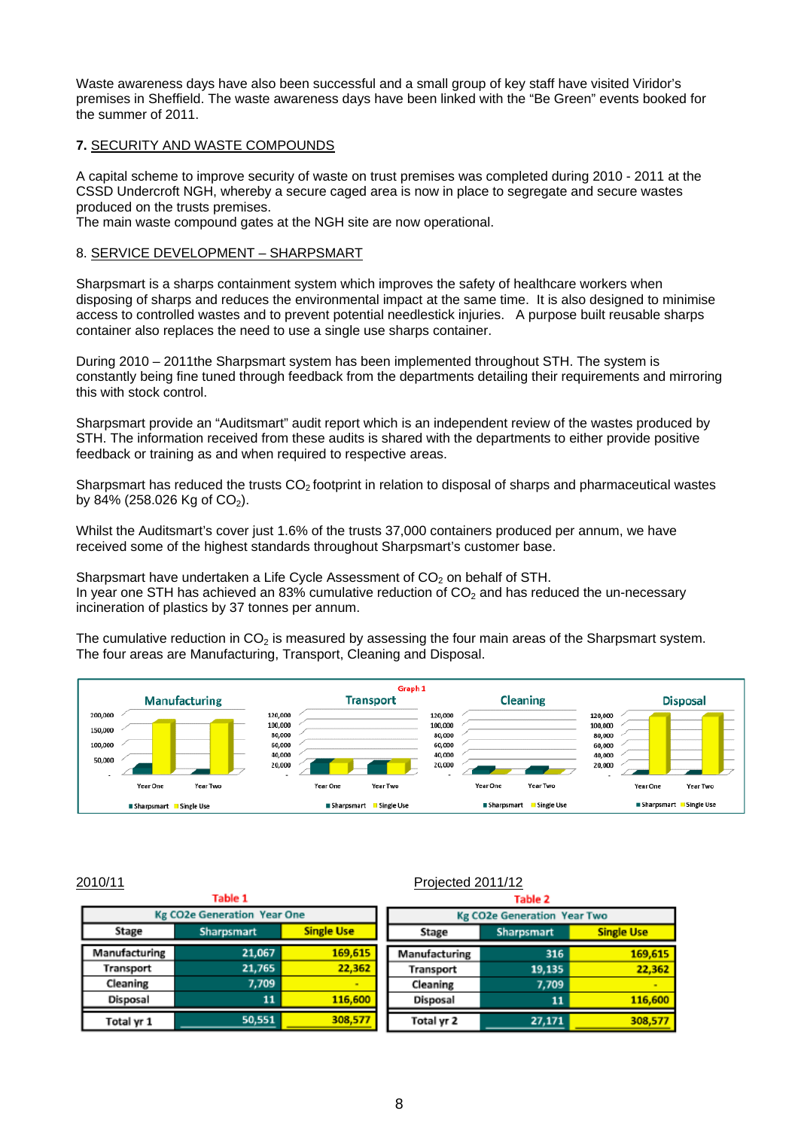Waste awareness days have also been successful and a small group of key staff have visited Viridor's premises in Sheffield. The waste awareness days have been linked with the "Be Green" events booked for the summer of 2011.

#### **7.** SECURITY AND WASTE COMPOUNDS

A capital scheme to improve security of waste on trust premises was completed during 2010 - 2011 at the CSSD Undercroft NGH, whereby a secure caged area is now in place to segregate and secure wastes produced on the trusts premises.

The main waste compound gates at the NGH site are now operational.

#### 8. SERVICE DEVELOPMENT – SHARPSMART

Sharpsmart is a sharps containment system which improves the safety of healthcare workers when disposing of sharps and reduces the environmental impact at the same time. It is also designed to minimise access to controlled wastes and to prevent potential needlestick injuries. A purpose built reusable sharps container also replaces the need to use a single use sharps container.

During 2010 – 2011the Sharpsmart system has been implemented throughout STH. The system is constantly being fine tuned through feedback from the departments detailing their requirements and mirroring this with stock control.

Sharpsmart provide an "Auditsmart" audit report which is an independent review of the wastes produced by STH. The information received from these audits is shared with the departments to either provide positive feedback or training as and when required to respective areas.

Sharpsmart has reduced the trusts  $CO<sub>2</sub>$  footprint in relation to disposal of sharps and pharmaceutical wastes by 84% (258.026 Kg of  $CO<sub>2</sub>$ ).

Whilst the Auditsmart's cover just 1.6% of the trusts 37,000 containers produced per annum, we have received some of the highest standards throughout Sharpsmart's customer base.

Sharpsmart have undertaken a Life Cycle Assessment of  $CO<sub>2</sub>$  on behalf of STH. In year one STH has achieved an 83% cumulative reduction of  $CO<sub>2</sub>$  and has reduced the un-necessary incineration of plastics by 37 tonnes per annum.

The cumulative reduction in  $CO<sub>2</sub>$  is measured by assessing the four main areas of the Sharpsmart system. The four areas are Manufacturing, Transport, Cleaning and Disposal.



### 2010/11 Projected 2011/12

| Table 1<br>Table 2 |                                    |                   |                                                 |                                    |         |  |
|--------------------|------------------------------------|-------------------|-------------------------------------------------|------------------------------------|---------|--|
|                    | <b>Kg CO2e Generation Year One</b> |                   |                                                 | <b>Kg CO2e Generation Year Two</b> |         |  |
| Stage              | Sharpsmart                         | <b>Single Use</b> | <b>Single Use</b><br><b>Sharpsmart</b><br>Stage |                                    |         |  |
| Manufacturing      | 21,067                             | 169,615           | Manufacturing                                   | 316                                | 169,615 |  |
| Transport          | 21,765                             | 22,362            | Transport                                       | 19,135                             | 22,362  |  |
| Cleaning           | 7.709                              |                   | Cleaning                                        | 7.709                              | $\sim$  |  |
| Disposal           | 11                                 | 116,600           | Disposal                                        | 11                                 | 116,600 |  |
| Total yr 1         | 50,551                             | 308,577           | Total yr 2                                      | 27,171                             | 308,577 |  |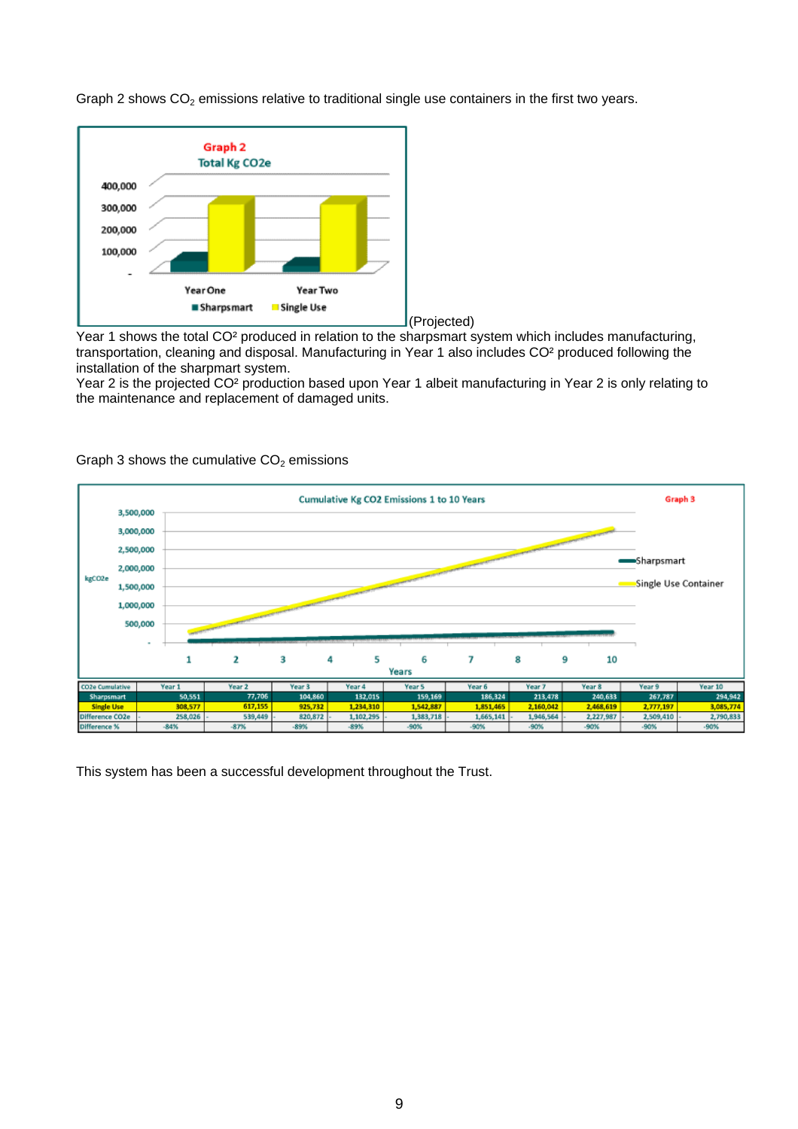

Graph 2 shows  $CO<sub>2</sub>$  emissions relative to traditional single use containers in the first two years.

Year 1 shows the total CO² produced in relation to the sharpsmart system which includes manufacturing, transportation, cleaning and disposal. Manufacturing in Year 1 also includes CO² produced following the installation of the sharpmart system.

Year 2 is the projected CO² production based upon Year 1 albeit manufacturing in Year 2 is only relating to the maintenance and replacement of damaged units.



Graph 3 shows the cumulative  $CO<sub>2</sub>$  emissions

This system has been a successful development throughout the Trust.